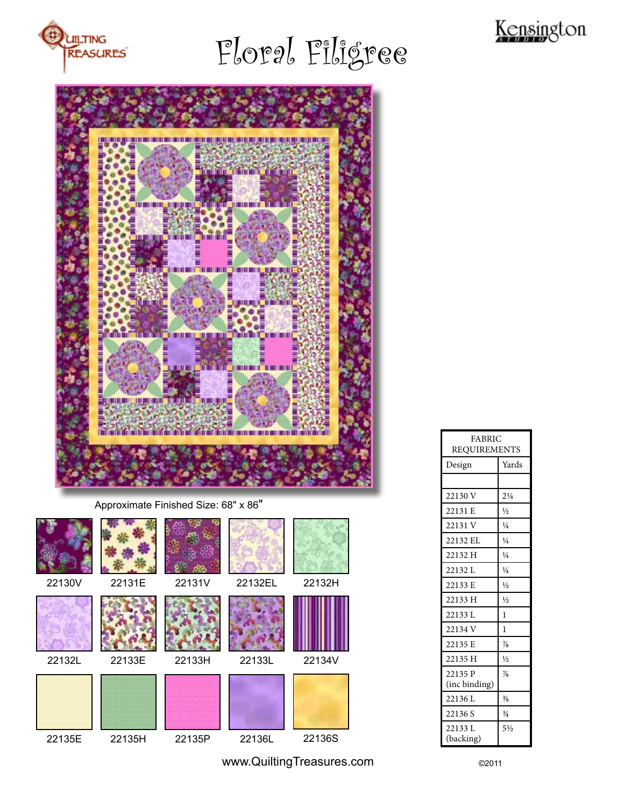

# Floral Filigree





| 22130V | 22131E | 22131V | 22132EL | 22132H |
|--------|--------|--------|---------|--------|
| 22132L | 22133E | 22133H | 22133L  | 22134V |
|        |        |        |         |        |
| 22135E | 22135H | 22135P | 22136L  | 22136S |

| <b>FABRIC</b>            |                |  |  |  |
|--------------------------|----------------|--|--|--|
| <b>REQUIREMENTS</b>      |                |  |  |  |
| Design                   | Yards          |  |  |  |
|                          |                |  |  |  |
| 22130 V                  | $2\frac{1}{4}$ |  |  |  |
| 22131 E                  | $\frac{1}{2}$  |  |  |  |
| 22131 V                  | $\frac{1}{4}$  |  |  |  |
| 22132 EL                 | $\frac{1}{4}$  |  |  |  |
| 22132 H                  | $\frac{1}{4}$  |  |  |  |
| 22132L                   | $\frac{1}{4}$  |  |  |  |
| 22133 E                  | $\frac{1}{2}$  |  |  |  |
| 22133 H                  | $\frac{1}{2}$  |  |  |  |
| 22133 L                  | 1              |  |  |  |
| 22134 V                  | 1              |  |  |  |
| 22135 E                  | $\frac{7}{8}$  |  |  |  |
| 22135 H                  | $\frac{1}{2}$  |  |  |  |
| 22135 P<br>(inc binding) | $\frac{7}{8}$  |  |  |  |
| 22136 L                  | $\frac{3}{8}$  |  |  |  |
| 22136 S                  | $\frac{3}{4}$  |  |  |  |
| 22133 L<br>(backing)     | $5\frac{1}{2}$ |  |  |  |

www.QuiltingTreasures.com ©2011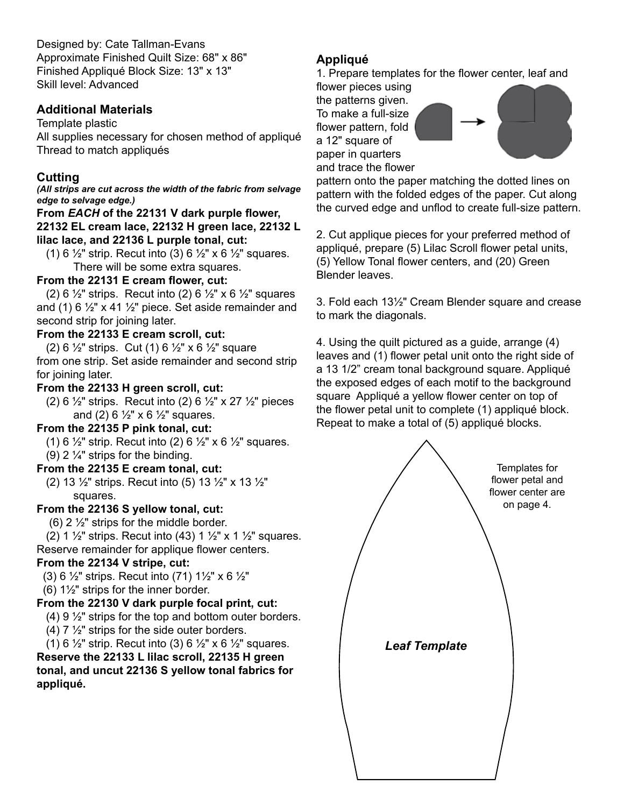Designed by: Cate Tallman-Evans Approximate Finished Quilt Size: 68" x 86" Finished Appliqué Block Size: 13" x 13" Skill level: Advanced

#### **Additional Materials**

Template plastic

All supplies necessary for chosen method of appliqué Thread to match appliqués

# **Cutting**

*(All strips are cut across the width of the fabric from selvage edge to selvage edge.)*

# **From** *EACH* **of the 22131 V dark purple flower,**

**22132 EL cream lace, 22132 H green lace, 22132 L lilac lace, and 22136 L purple tonal, cut:**

(1) 6  $\frac{1}{2}$ " strip. Recut into (3) 6  $\frac{1}{2}$ " x 6  $\frac{1}{2}$ " squares. There will be some extra squares.

## **From the 22131 E cream flower, cut:**

(2) 6  $\frac{1}{2}$ " strips. Recut into (2) 6  $\frac{1}{2}$ " x 6  $\frac{1}{2}$ " squares and (1) 6  $\frac{1}{2}$ " x 41  $\frac{1}{2}$ " piece. Set aside remainder and second strip for joining later.

# **From the 22133 E cream scroll, cut:**

(2) 6  $\frac{1}{2}$ " strips. Cut (1) 6  $\frac{1}{2}$ " x 6  $\frac{1}{2}$ " square from one strip. Set aside remainder and second strip for joining later.

## **From the 22133 H green scroll, cut:**

(2) 6  $\frac{1}{2}$ " strips. Recut into (2) 6  $\frac{1}{2}$ " x 27  $\frac{1}{2}$ " pieces and (2) 6  $\frac{1}{2}$ " x 6  $\frac{1}{2}$ " squares.

#### **From the 22135 P pink tonal, cut:**

(1) 6  $\frac{1}{2}$ " strip. Recut into (2) 6  $\frac{1}{2}$ " x 6  $\frac{1}{2}$ " squares. (9) 2  $\frac{1}{4}$ " strips for the binding.

#### **From the 22135 E cream tonal, cut:**

 (2) 13 ½" strips. Recut into (5) 13 ½" x 13 ½" squares.

#### **From the 22136 S yellow tonal, cut:**

 $(6)$  2  $\frac{1}{2}$ " strips for the middle border.

(2) 1  $\frac{1}{2}$ " strips. Recut into (43) 1  $\frac{1}{2}$ " x 1  $\frac{1}{2}$ " squares. Reserve remainder for applique flower centers.

#### **From the 22134 V stripe, cut:**

(3) 6  $\frac{1}{2}$ " strips. Recut into (71) 1 $\frac{1}{2}$ " x 6  $\frac{1}{2}$ "

(6) 1½" strips for the inner border.

#### **From the 22130 V dark purple focal print, cut:**

- (4) 9 ½" strips for the top and bottom outer borders.
- (4)  $7\frac{1}{2}$ " strips for the side outer borders.

(1) 6  $\frac{1}{2}$ " strip. Recut into (3) 6  $\frac{1}{2}$ " x 6  $\frac{1}{2}$ " squares.

**Reserve the 22133 L lilac scroll, 22135 H green tonal, and uncut 22136 S yellow tonal fabrics for appliqué.**

# **Appliqué**

1. Prepare templates for the flower center, leaf and

flower pieces using the patterns given. To make a full-size flower pattern, fold a 12" square of

paper in quarters and trace the flower



pattern onto the paper matching the dotted lines on pattern with the folded edges of the paper. Cut along the curved edge and unflod to create full-size pattern.

2. Cut applique pieces for your preferred method of appliqué, prepare (5) Lilac Scroll flower petal units, (5) Yellow Tonal flower centers, and (20) Green Blender leaves.

3. Fold each 13½" Cream Blender square and crease to mark the diagonals.

4. Using the quilt pictured as a guide, arrange (4) leaves and (1) flower petal unit onto the right side of a 13 1/2" cream tonal background square. Appliqué the exposed edges of each motif to the background square Appliqué a yellow flower center on top of the flower petal unit to complete (1) appliqué block. Repeat to make a total of (5) appliqué blocks.

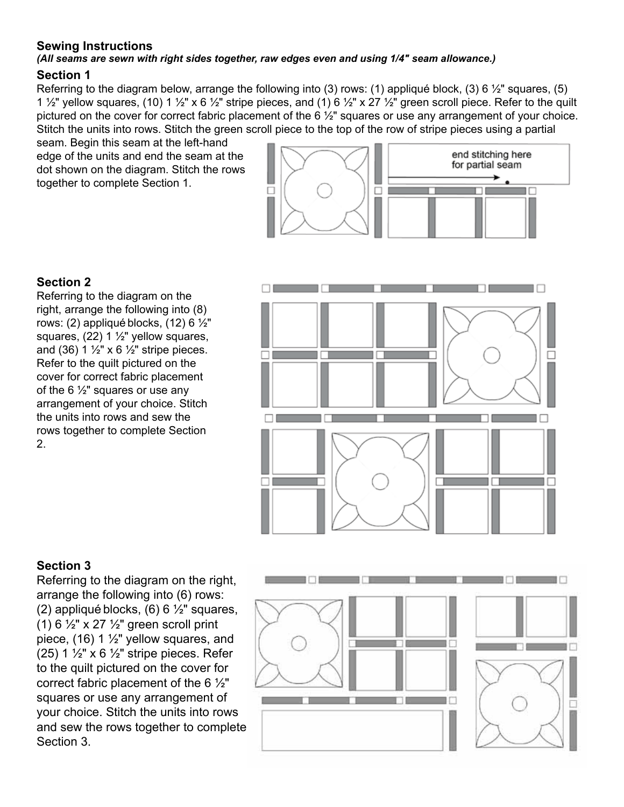#### **Sewing Instructions**

#### *(All seams are sewn with right sides together, raw edges even and using 1/4" seam allowance.)*

#### **Section 1**

Referring to the diagram below, arrange the following into (3) rows: (1) appliqué block, (3) 6  $\frac{1}{2}$ " squares, (5) 1  $\frac{1}{2}$ " yellow squares, (10) 1  $\frac{1}{2}$ " x 6  $\frac{1}{2}$ " stripe pieces, and (1) 6  $\frac{1}{2}$ " x 27  $\frac{1}{2}$ " green scroll piece. Refer to the quilt pictured on the cover for correct fabric placement of the 6 ½" squares or use any arrangement of your choice. Stitch the units into rows. Stitch the green scroll piece to the top of the row of stripe pieces using a partial

seam. Begin this seam at the left-hand edge of the units and end the seam at the dot shown on the diagram. Stitch the rows together to complete Section 1.



## **Section 2**

Referring to the diagram on the right, arrange the following into (8) rows: (2) appliqué blocks, (12) 6  $\frac{1}{2}$ " squares, (22) 1 ½" yellow squares, and (36) 1  $\frac{1}{2}$ " x 6  $\frac{1}{2}$ " stripe pieces. Refer to the quilt pictured on the cover for correct fabric placement of the 6  $\frac{1}{2}$ " squares or use any arrangement of your choice. Stitch the units into rows and sew the rows together to complete Section 2.



# **Section 3**

Referring to the diagram on the right, arrange the following into (6) rows: (2) appliqué blocks,  $(6)$  6  $\frac{1}{2}$ " squares, (1) 6  $\frac{1}{2}$ " x 27  $\frac{1}{2}$ " green scroll print piece, (16) 1 ½" yellow squares, and (25) 1  $\frac{1}{2}$ " x 6  $\frac{1}{2}$ " stripe pieces. Refer to the quilt pictured on the cover for correct fabric placement of the 6 ½" squares or use any arrangement of your choice. Stitch the units into rows and sew the rows together to complete Section 3.